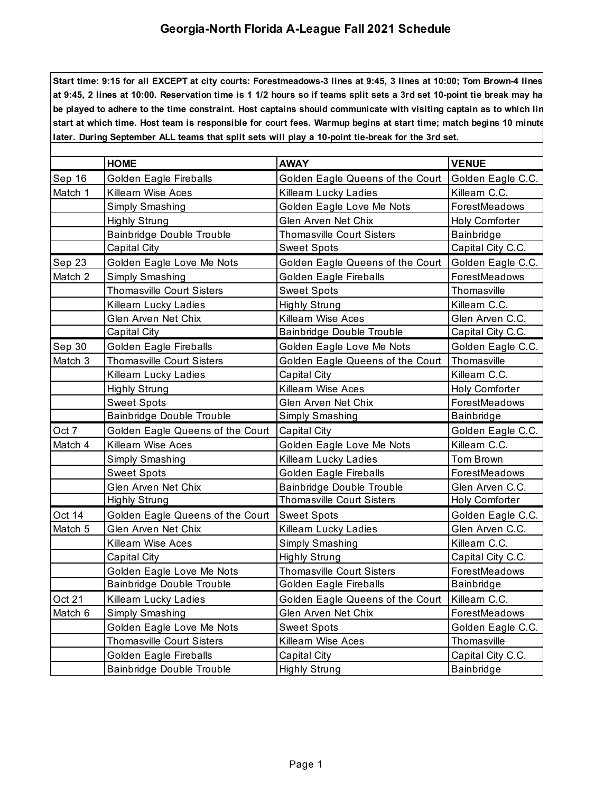## **Georgia-North Florida A-League Fall 2021 Schedule**

**Start time: 9:15 for all EXCEPT at city courts: Forestmeadows-3 lines at 9:45, 3 lines at 10:00; Tom Brown-4 lines** at 9:45, 2 lines at 10:00. Reservation time is 1 1/2 hours so if teams split sets a 3rd set 10-point tie break may ha be played to adhere to the time constraint. Host captains should communicate with visiting captain as to which lin **start at which time. Host team is responsible for court fees. Warmup begins at start time; match begins 10 minutes later. During September ALL teams that split sets will play a 10-point tie-break for the 3rd set.**

|         | <b>HOME</b>                      | <b>AWAY</b>                      | <b>VENUE</b>      |
|---------|----------------------------------|----------------------------------|-------------------|
| Sep 16  | Golden Eagle Fireballs           | Golden Eagle Queens of the Court | Golden Eagle C.C. |
| Match 1 | Killearn Wise Aces               | Killearn Lucky Ladies            | Killearn C.C.     |
|         | Simply Smashing                  | Golden Eagle Love Me Nots        | ForestMeadows     |
|         | <b>Highly Strung</b>             | Glen Arven Net Chix              | Holy Comforter    |
|         | Bainbridge Double Trouble        | <b>Thomasville Court Sisters</b> | Bainbridge        |
|         | Capital City                     | <b>Sweet Spots</b>               | Capital City C.C. |
| Sep 23  | Golden Eagle Love Me Nots        | Golden Eagle Queens of the Court | Golden Eagle C.C. |
| Match 2 | Simply Smashing                  | <b>Golden Eagle Fireballs</b>    | ForestMeadows     |
|         | <b>Thomasville Court Sisters</b> | <b>Sweet Spots</b>               | Thomasville       |
|         | Killearn Lucky Ladies            | <b>Highly Strung</b>             | Killearn C.C.     |
|         | Glen Arven Net Chix              | Killearn Wise Aces               | Glen Arven C.C.   |
|         | Capital City                     | Bainbridge Double Trouble        | Capital City C.C. |
| Sep 30  | Golden Eagle Fireballs           | Golden Eagle Love Me Nots        | Golden Eagle C.C. |
| Match 3 | <b>Thomasville Court Sisters</b> | Golden Eagle Queens of the Court | Thomasville       |
|         | Killearn Lucky Ladies            | <b>Capital City</b>              | Killearn C.C.     |
|         | <b>Highly Strung</b>             | Killearn Wise Aces               | Holy Comforter    |
|         | <b>Sweet Spots</b>               | Glen Arven Net Chix              | ForestMeadows     |
|         | Bainbridge Double Trouble        | <b>Simply Smashing</b>           | Bainbridge        |
| Oct 7   | Golden Eagle Queens of the Court | <b>Capital City</b>              | Golden Eagle C.C. |
| Match 4 | Killearn Wise Aces               | Golden Eagle Love Me Nots        | Killearn C.C.     |
|         | Simply Smashing                  | Killearn Lucky Ladies            | Tom Brown         |
|         | <b>Sweet Spots</b>               | <b>Golden Eagle Fireballs</b>    | ForestMeadows     |
|         | Glen Arven Net Chix              | Bainbridge Double Trouble        | Glen Arven C.C.   |
|         | <b>Highly Strung</b>             | <b>Thomasville Court Sisters</b> | Holy Comforter    |
| Oct 14  | Golden Eagle Queens of the Court | <b>Sweet Spots</b>               | Golden Eagle C.C. |
| Match 5 | Glen Arven Net Chix              | Killearn Lucky Ladies            | Glen Arven C.C.   |
|         | Killearn Wise Aces               | Simply Smashing                  | Killearn C.C.     |
|         | Capital City                     | <b>Highly Strung</b>             | Capital City C.C. |
|         | Golden Eagle Love Me Nots        | <b>Thomasville Court Sisters</b> | ForestMeadows     |
|         | Bainbridge Double Trouble        | <b>Golden Eagle Fireballs</b>    | Bainbridge        |
| Oct 21  | Killearn Lucky Ladies            | Golden Eagle Queens of the Court | Killearn C.C.     |
| Match 6 | Simply Smashing                  | Glen Arven Net Chix              | ForestMeadows     |
|         | Golden Eagle Love Me Nots        | <b>Sweet Spots</b>               | Golden Eagle C.C. |
|         | <b>Thomasville Court Sisters</b> | Killearn Wise Aces               | Thomasville       |
|         | <b>Golden Eagle Fireballs</b>    | Capital City                     | Capital City C.C. |
|         | <b>Bainbridge Double Trouble</b> | <b>Highly Strung</b>             | Bainbridge        |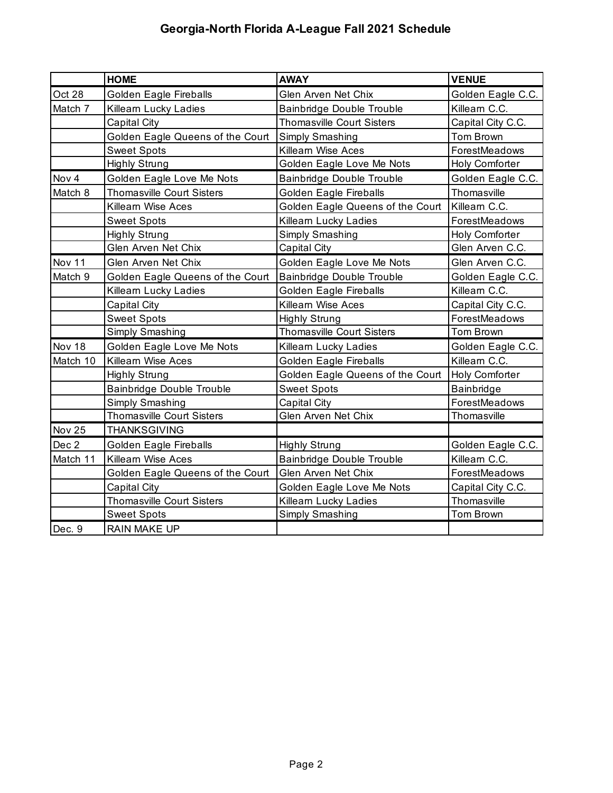## **Georgia-North Florida A-League Fall 2021 Schedule**

|          | <b>HOME</b>                      | <b>AWAY</b>                      | <b>VENUE</b>          |
|----------|----------------------------------|----------------------------------|-----------------------|
| Oct 28   | Golden Eagle Fireballs           | Glen Arven Net Chix              | Golden Eagle C.C.     |
| Match 7  | Killearn Lucky Ladies            | <b>Bainbridge Double Trouble</b> | Killearn C.C.         |
|          | Capital City                     | <b>Thomasville Court Sisters</b> | Capital City C.C.     |
|          | Golden Eagle Queens of the Court | Simply Smashing                  | Tom Brown             |
|          | <b>Sweet Spots</b>               | Killearn Wise Aces               | ForestMeadows         |
|          | <b>Highly Strung</b>             | Golden Eagle Love Me Nots        | Holy Comforter        |
| Nov 4    | Golden Eagle Love Me Nots        | <b>Bainbridge Double Trouble</b> | Golden Eagle C.C.     |
| Match 8  | <b>Thomasville Court Sisters</b> | Golden Eagle Fireballs           | Thomasville           |
|          | Killearn Wise Aces               | Golden Eagle Queens of the Court | Killearn C.C.         |
|          | <b>Sweet Spots</b>               | Killearn Lucky Ladies            | ForestMeadows         |
|          | <b>Highly Strung</b>             | Simply Smashing                  | Holy Comforter        |
|          | Glen Arven Net Chix              | <b>Capital City</b>              | Glen Arven C.C.       |
| Nov 11   | Glen Arven Net Chix              | Golden Eagle Love Me Nots        | Glen Arven C.C.       |
| Match 9  | Golden Eagle Queens of the Court | <b>Bainbridge Double Trouble</b> | Golden Eagle C.C.     |
|          | Killearn Lucky Ladies            | Golden Eagle Fireballs           | Killearn C.C.         |
|          | Capital City                     | Killearn Wise Aces               | Capital City C.C.     |
|          | <b>Sweet Spots</b>               | <b>Highly Strung</b>             | ForestMeadows         |
|          | Simply Smashing                  | <b>Thomasville Court Sisters</b> | Tom Brown             |
| Nov 18   | Golden Eagle Love Me Nots        | Killearn Lucky Ladies            | Golden Eagle C.C.     |
| Match 10 | Killearn Wise Aces               | Golden Eagle Fireballs           | Killearn C.C.         |
|          | <b>Highly Strung</b>             | Golden Eagle Queens of the Court | <b>Holy Comforter</b> |
|          | Bainbridge Double Trouble        | <b>Sweet Spots</b>               | Bainbridge            |
|          | Simply Smashing                  | Capital City                     | ForestMeadows         |
|          | <b>Thomasville Court Sisters</b> | Glen Arven Net Chix              | Thomasville           |
| Nov 25   | <b>THANKSGIVING</b>              |                                  |                       |
| Dec 2    | Golden Eagle Fireballs           | <b>Highly Strung</b>             | Golden Eagle C.C.     |
| Match 11 | Killearn Wise Aces               | Bainbridge Double Trouble        | Killearn C.C.         |
|          | Golden Eagle Queens of the Court | Glen Arven Net Chix              | ForestMeadows         |
|          | Capital City                     | Golden Eagle Love Me Nots        | Capital City C.C.     |
|          | <b>Thomasville Court Sisters</b> | Killearn Lucky Ladies            | Thomasville           |
|          | <b>Sweet Spots</b>               | Simply Smashing                  | Tom Brown             |
| Dec. 9   | <b>RAIN MAKE UP</b>              |                                  |                       |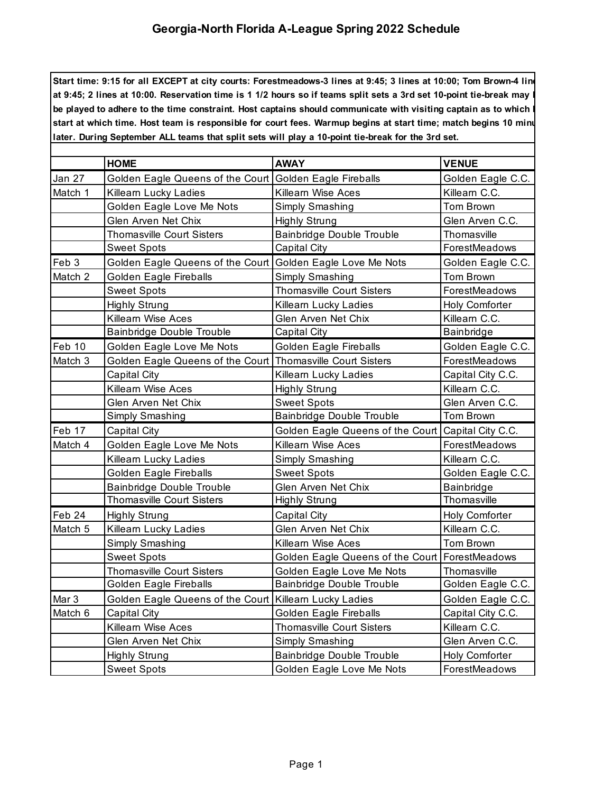## **Georgia-North Florida A-League Spring 2022 Schedule**

**Start time: 9:15 for all EXCEPT at city courts: Forestmeadows-3 lines at 9:45; 3 lines at 10:00; Tom Brown-4 lines at 9:45; 2 lines at 10:00. Reservation time is 1 1/2 hours so if teams split sets a 3rd set 10-point tie-break may have to** be played to adhere to the time constraint. Host captains should communicate with visiting captain as to which start at which time. Host team is responsible for court fees. Warmup begins at start time; match begins 10 minu **later. During September ALL teams that split sets will play a 10-point tie-break for the 3rd set.**

|                  | <b>HOME</b>                                                | <b>AWAY</b>                                          | <b>VENUE</b>      |
|------------------|------------------------------------------------------------|------------------------------------------------------|-------------------|
| Jan 27           | Golden Eagle Queens of the Court Golden Eagle Fireballs    |                                                      | Golden Eagle C.C. |
| Match 1          | Killearn Lucky Ladies                                      | Killearn Wise Aces                                   | Killearn C.C.     |
|                  | Golden Eagle Love Me Nots                                  | Simply Smashing                                      | Tom Brown         |
|                  | Glen Arven Net Chix                                        | <b>Highly Strung</b>                                 | Glen Arven C.C.   |
|                  | <b>Thomasville Court Sisters</b>                           | Bainbridge Double Trouble                            | Thomasville       |
|                  | <b>Sweet Spots</b>                                         | Capital City                                         | ForestMeadows     |
| Feb 3            | Golden Eagle Queens of the Court Golden Eagle Love Me Nots |                                                      | Golden Eagle C.C. |
| Match 2          | Golden Eagle Fireballs                                     | Simply Smashing                                      | Tom Brown         |
|                  | <b>Sweet Spots</b>                                         | <b>Thomasville Court Sisters</b>                     | ForestMeadows     |
|                  | <b>Highly Strung</b>                                       | Killearn Lucky Ladies                                | Holy Comforter    |
|                  | Killearn Wise Aces                                         | Glen Arven Net Chix                                  | Killearn C.C.     |
|                  | <b>Bainbridge Double Trouble</b>                           | Capital City                                         | Bainbridge        |
| Feb 10           | Golden Eagle Love Me Nots                                  | Golden Eagle Fireballs                               | Golden Eagle C.C. |
| Match 3          | Golden Eagle Queens of the Court Thomasville Court Sisters |                                                      | ForestMeadows     |
|                  | Capital City                                               | Killearn Lucky Ladies                                | Capital City C.C. |
|                  | Killearn Wise Aces                                         | <b>Highly Strung</b>                                 | Killearn C.C.     |
|                  | Glen Arven Net Chix                                        | <b>Sweet Spots</b>                                   | Glen Arven C.C.   |
|                  | Simply Smashing                                            | Bainbridge Double Trouble                            | Tom Brown         |
| Feb 17           | Capital City                                               | Golden Eagle Queens of the Court   Capital City C.C. |                   |
| Match 4          | Golden Eagle Love Me Nots                                  | Killearn Wise Aces                                   | ForestMeadows     |
|                  | Killearn Lucky Ladies                                      | Simply Smashing                                      | Killearn C.C.     |
|                  | <b>Golden Eagle Fireballs</b>                              | <b>Sweet Spots</b>                                   | Golden Eagle C.C. |
|                  | <b>Bainbridge Double Trouble</b>                           | Glen Arven Net Chix                                  | Bainbridge        |
|                  | <b>Thomasville Court Sisters</b>                           | <b>Highly Strung</b>                                 | Thomasville       |
| Feb 24           | <b>Highly Strung</b>                                       | Capital City                                         | Holy Comforter    |
| Match 5          | Killearn Lucky Ladies                                      | Glen Arven Net Chix                                  | Killearn C.C.     |
|                  | Simply Smashing                                            | Killearn Wise Aces                                   | <b>Tom Brown</b>  |
|                  | <b>Sweet Spots</b>                                         | Golden Eagle Queens of the Court   ForestMeadows     |                   |
|                  | <b>Thomasville Court Sisters</b>                           | Golden Eagle Love Me Nots                            | Thomasville       |
|                  | Golden Eagle Fireballs                                     | Bainbridge Double Trouble                            | Golden Eagle C.C. |
| Mar <sub>3</sub> | Golden Eagle Queens of the Court Killearn Lucky Ladies     |                                                      | Golden Eagle C.C. |
| Match 6          | Capital City                                               | <b>Golden Eagle Fireballs</b>                        | Capital City C.C. |
|                  | Killearn Wise Aces                                         | <b>Thomasville Court Sisters</b>                     | Killearn C.C.     |
|                  | Glen Arven Net Chix                                        | Simply Smashing                                      | Glen Arven C.C.   |
|                  | <b>Highly Strung</b>                                       | <b>Bainbridge Double Trouble</b>                     | Holy Comforter    |
|                  | <b>Sweet Spots</b>                                         | Golden Eagle Love Me Nots                            | ForestMeadows     |